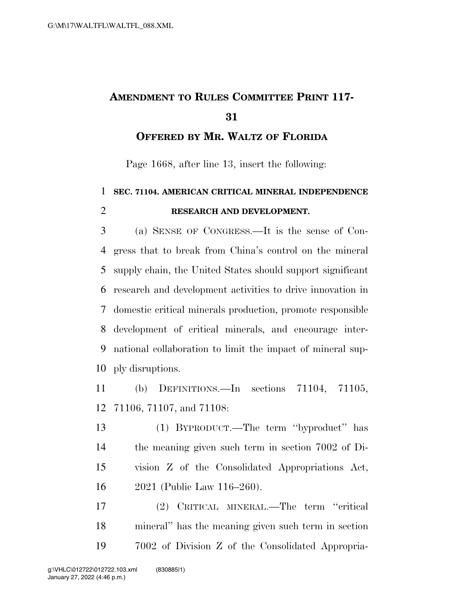# **AMENDMENT TO RULES COMMITTEE PRINT 117-**

**OFFERED BY MR. WALTZ OF FLORIDA**

Page 1668, after line 13, insert the following:

## **SEC. 71104. AMERICAN CRITICAL MINERAL INDEPENDENCE RESEARCH AND DEVELOPMENT.**

 (a) SENSE OF CONGRESS.—It is the sense of Con- gress that to break from China's control on the mineral supply chain, the United States should support significant research and development activities to drive innovation in domestic critical minerals production, promote responsible development of critical minerals, and encourage inter- national collaboration to limit the impact of mineral sup-ply disruptions.

 (b) DEFINITIONS.—In sections 71104, 71105, 71106, 71107, and 71108:

 (1) BYPRODUCT.—The term ''byproduct'' has the meaning given such term in section 7002 of Di- vision Z of the Consolidated Appropriations Act, 2021 (Public Law 116–260).

 (2) CRITICAL MINERAL.—The term ''critical mineral'' has the meaning given such term in section 7002 of Division Z of the Consolidated Appropria-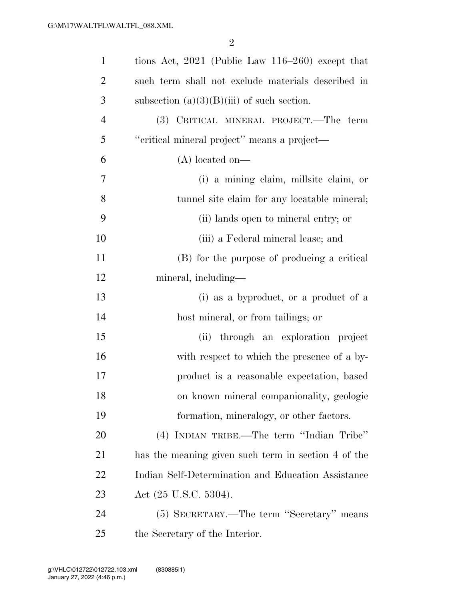| $\mathbf{1}$   | tions Act, $2021$ (Public Law 116–260) except that  |
|----------------|-----------------------------------------------------|
| $\overline{2}$ | such term shall not exclude materials described in  |
| 3              | subsection $(a)(3)(B)(iii)$ of such section.        |
| $\overline{4}$ | (3) CRITICAL MINERAL PROJECT.—The term              |
| 5              | "critical mineral project" means a project-         |
| 6              | $(A)$ located on—                                   |
| 7              | (i) a mining claim, millsite claim, or              |
| 8              | tunnel site claim for any locatable mineral;        |
| 9              | (ii) lands open to mineral entry; or                |
| 10             | (iii) a Federal mineral lease; and                  |
| 11             | (B) for the purpose of producing a critical         |
| 12             | mineral, including—                                 |
| 13             | (i) as a byproduct, or a product of a               |
| 14             | host mineral, or from tailings; or                  |
| 15             | (ii) through an exploration project                 |
| 16             | with respect to which the presence of a by-         |
| 17             | product is a reasonable expectation, based          |
| 18             | on known mineral companionality, geologic           |
| 19             | formation, mineralogy, or other factors.            |
| 20             | (4) INDIAN TRIBE.—The term "Indian Tribe"           |
| 21             | has the meaning given such term in section 4 of the |
| 22             | Indian Self-Determination and Education Assistance  |
| 23             | Act (25 U.S.C. 5304).                               |
| 24             | (5) SECRETARY.—The term "Secretary" means           |
| 25             | the Secretary of the Interior.                      |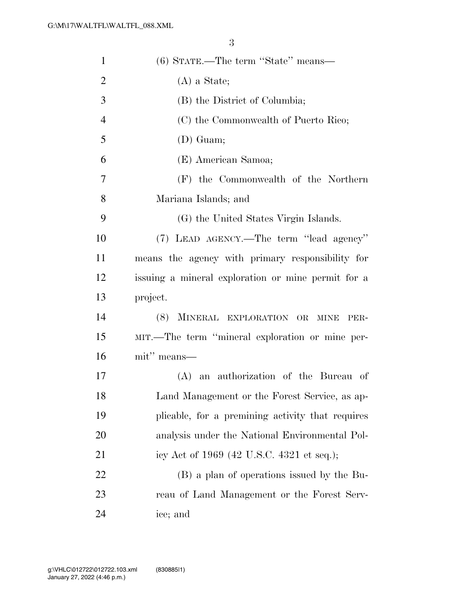| $\mathbf{1}$   | (6) STATE.—The term "State" means—                 |
|----------------|----------------------------------------------------|
| $\overline{2}$ | $(A)$ a State;                                     |
| 3              | (B) the District of Columbia;                      |
| $\overline{4}$ | (C) the Commonwealth of Puerto Rico;               |
| 5              | $(D)$ Guam;                                        |
| 6              | (E) American Samoa;                                |
| 7              | (F) the Commonwealth of the Northern               |
| 8              | Mariana Islands; and                               |
| 9              | (G) the United States Virgin Islands.              |
| 10             | (7) LEAD AGENCY.—The term "lead agency"            |
| 11             | means the agency with primary responsibility for   |
| 12             | issuing a mineral exploration or mine permit for a |
| 13             | project.                                           |
| 14             | (8) MINERAL EXPLORATION OR<br><b>MINE</b><br>PER-  |
| 15             | MIT.—The term "mineral exploration or mine per-    |
| 16             | mit" means—                                        |
| 17             | (A) an authorization of the Bureau of              |
| 18             | Land Management or the Forest Service, as ap-      |
| 19             | plicable, for a premining activity that requires   |
| 20             | analysis under the National Environmental Pol-     |
| 21             | icy Act of 1969 (42 U.S.C. 4321 et seq.);          |
| 22             | (B) a plan of operations issued by the Bu-         |
| 23             | reau of Land Management or the Forest Serv-        |
| 24             | ice; and                                           |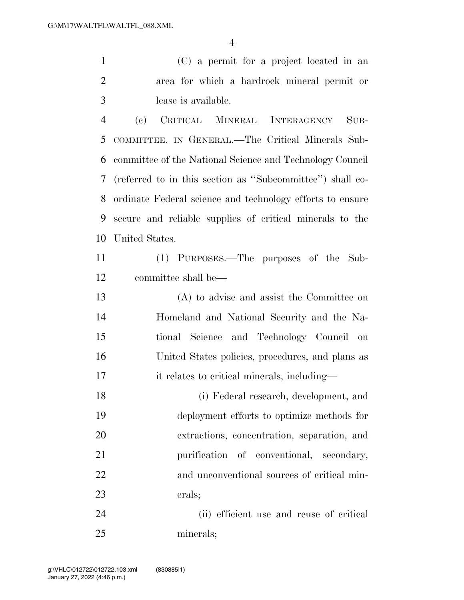(C) a permit for a project located in an area for which a hardrock mineral permit or lease is available.

 (c) CRITICAL MINERAL INTERAGENCY SUB- COMMITTEE. IN GENERAL.—The Critical Minerals Sub- committee of the National Science and Technology Council (referred to in this section as ''Subcommittee'') shall co- ordinate Federal science and technology efforts to ensure secure and reliable supplies of critical minerals to the United States.

 (1) PURPOSES.—The purposes of the Sub-committee shall be—

 (A) to advise and assist the Committee on Homeland and National Security and the Na- tional Science and Technology Council on United States policies, procedures, and plans as it relates to critical minerals, including—

 (i) Federal research, development, and deployment efforts to optimize methods for extractions, concentration, separation, and purification of conventional, secondary, and unconventional sources of critical min-erals;

 (ii) efficient use and reuse of critical minerals;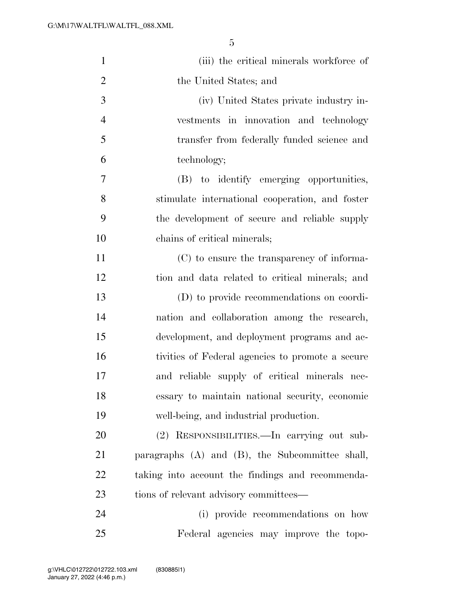| $\mathbf{1}$   | (iii) the critical minerals workforce of             |
|----------------|------------------------------------------------------|
| $\overline{2}$ | the United States; and                               |
| 3              | (iv) United States private industry in-              |
| $\overline{4}$ | vestments in innovation and technology               |
| 5              | transfer from federally funded science and           |
| 6              | technology;                                          |
| 7              | (B) to identify emerging opportunities,              |
| 8              | stimulate international cooperation, and foster      |
| 9              | the development of secure and reliable supply        |
| 10             | chains of critical minerals;                         |
| 11             | (C) to ensure the transparency of informa-           |
| 12             | tion and data related to critical minerals; and      |
| 13             | (D) to provide recommendations on coordi-            |
| 14             | nation and collaboration among the research,         |
| 15             | development, and deployment programs and ac-         |
| 16             | tivities of Federal agencies to promote a secure     |
| 17             | and reliable supply of critical minerals nec-        |
| 18             | essary to maintain national security, economic       |
| 19             | well-being, and industrial production.               |
| 20             | (2) RESPONSIBILITIES.—In carrying out sub-           |
| 21             | paragraphs $(A)$ and $(B)$ , the Subcommittee shall, |
| <u>22</u>      | taking into account the findings and recommenda-     |
| 23             | tions of relevant advisory committees—               |
| 24             | (i) provide recommendations on how                   |
| 25             | Federal agencies may improve the topo-               |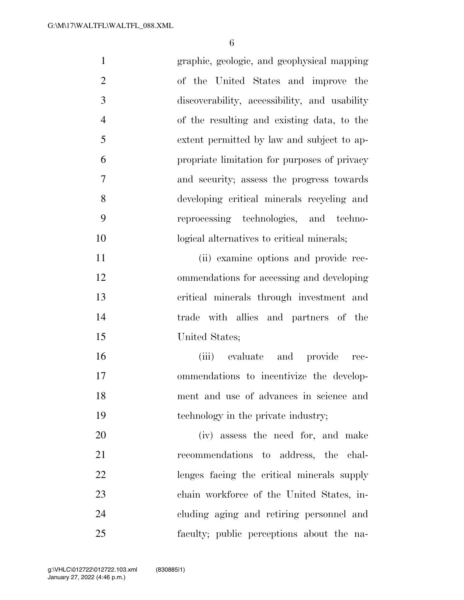| $\mathbf{1}$   | graphic, geologic, and geophysical mapping    |
|----------------|-----------------------------------------------|
| $\overline{2}$ | of the United States and improve the          |
| 3              | discoverability, accessibility, and usability |
| $\overline{4}$ | of the resulting and existing data, to the    |
| 5              | extent permitted by law and subject to ap-    |
| 6              | propriate limitation for purposes of privacy  |
| 7              | and security; assess the progress towards     |
| 8              | developing critical minerals recycling and    |
| 9              | reprocessing technologies, and techno-        |
| 10             | logical alternatives to critical minerals;    |
| 11             | (ii) examine options and provide rec-         |
| 12             | ommendations for accessing and developing     |
| 13             | critical minerals through investment and      |
| 14             | trade with allies and partners of the         |
| 15             | United States;                                |
| 16             | (iii) evaluate and provide<br>rec-            |
| 17             | ommendations to incentivize the develop-      |
| 18             | ment and use of advances in science and       |
| 19             | technology in the private industry;           |
| 20             | (iv) assess the need for, and make            |
| 21             | recommendations to address, the chal-         |
| 22             | lenges facing the critical minerals supply    |
| 23             | chain workforce of the United States, in-     |
| 24             | cluding aging and retiring personnel and      |
| 25             | faculty; public perceptions about the na-     |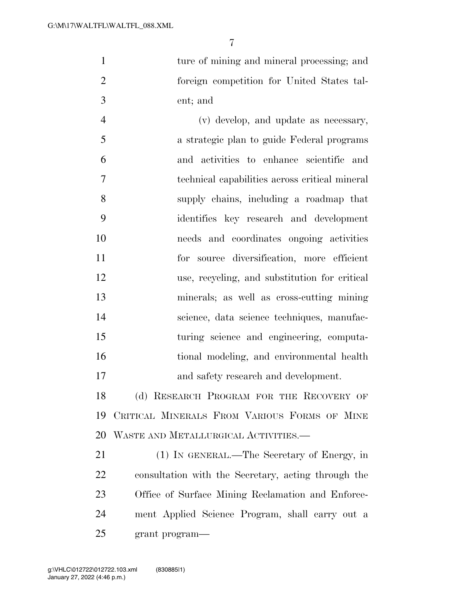1 ture of mining and mineral processing; and foreign competition for United States tal-ent; and

 (v) develop, and update as necessary, a strategic plan to guide Federal programs and activities to enhance scientific and technical capabilities across critical mineral supply chains, including a roadmap that identifies key research and development needs and coordinates ongoing activities for source diversification, more efficient use, recycling, and substitution for critical minerals; as well as cross-cutting mining science, data science techniques, manufac- turing science and engineering, computa- tional modeling, and environmental health and safety research and development.

18 (d) RESEARCH PROGRAM FOR THE RECOVERY OF CRITICAL MINERALS FROM VARIOUS FORMS OF MINE WASTE AND METALLURGICAL ACTIVITIES.—

 (1) IN GENERAL.—The Secretary of Energy, in consultation with the Secretary, acting through the Office of Surface Mining Reclamation and Enforce- ment Applied Science Program, shall carry out a grant program—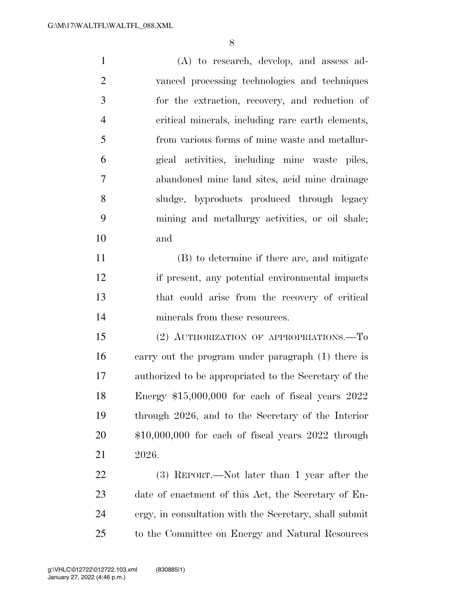(A) to research, develop, and assess ad- vanced processing technologies and techniques for the extraction, recovery, and reduction of critical minerals, including rare earth elements, from various forms of mine waste and metallur- gical activities, including mine waste piles, abandoned mine land sites, acid mine drainage sludge, byproducts produced through legacy mining and metallurgy activities, or oil shale; and

 (B) to determine if there are, and mitigate if present, any potential environmental impacts that could arise from the recovery of critical minerals from these resources.

 (2) AUTHORIZATION OF APPROPRIATIONS.—To carry out the program under paragraph (1) there is authorized to be appropriated to the Secretary of the Energy \$15,000,000 for each of fiscal years 2022 through 2026, and to the Secretary of the Interior \$10,000,000 for each of fiscal years 2022 through 2026.

 (3) REPORT.—Not later than 1 year after the date of enactment of this Act, the Secretary of En- ergy, in consultation with the Secretary, shall submit to the Committee on Energy and Natural Resources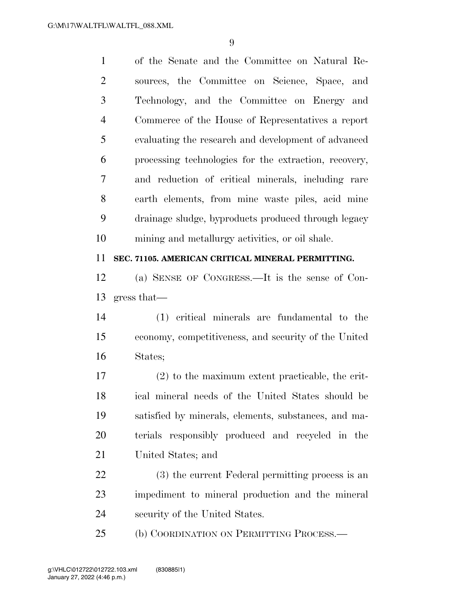of the Senate and the Committee on Natural Re- sources, the Committee on Science, Space, and Technology, and the Committee on Energy and Commerce of the House of Representatives a report evaluating the research and development of advanced processing technologies for the extraction, recovery, and reduction of critical minerals, including rare earth elements, from mine waste piles, acid mine drainage sludge, byproducts produced through legacy mining and metallurgy activities, or oil shale.

#### **SEC. 71105. AMERICAN CRITICAL MINERAL PERMITTING.**

 (a) SENSE OF CONGRESS.—It is the sense of Con-gress that—

 (1) critical minerals are fundamental to the economy, competitiveness, and security of the United States;

 (2) to the maximum extent practicable, the crit- ical mineral needs of the United States should be satisfied by minerals, elements, substances, and ma- terials responsibly produced and recycled in the United States; and

 (3) the current Federal permitting process is an impediment to mineral production and the mineral security of the United States.

25 (b) COORDINATION ON PERMITTING PROCESS.—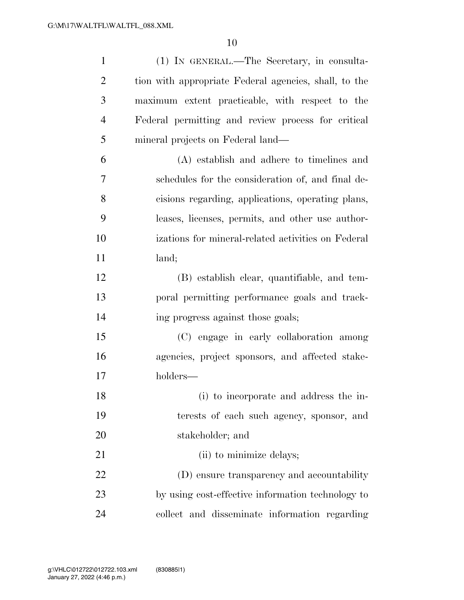| $\mathbf{1}$   | (1) IN GENERAL.—The Secretary, in consulta-           |
|----------------|-------------------------------------------------------|
| 2              | tion with appropriate Federal agencies, shall, to the |
| 3              | maximum extent practicable, with respect to the       |
| $\overline{4}$ | Federal permitting and review process for critical    |
| 5              | mineral projects on Federal land—                     |
| 6              | (A) establish and adhere to timelines and             |
| 7              | schedules for the consideration of, and final de-     |
| 8              | cisions regarding, applications, operating plans,     |
| 9              | leases, licenses, permits, and other use author-      |
| 10             | izations for mineral-related activities on Federal    |
| 11             | land;                                                 |
| 12             | (B) establish clear, quantifiable, and tem-           |
| 13             | poral permitting performance goals and track-         |
| 14             | ing progress against those goals;                     |
| 15             | (C) engage in early collaboration among               |
| 16             | agencies, project sponsors, and affected stake-       |
| 17             | holders—                                              |
| 18             | (i) to incorporate and address the in-                |
| 19             | terests of each such agency, sponsor, and             |
| 20             | stakeholder; and                                      |
| 21             | (ii) to minimize delays;                              |
| 22             | (D) ensure transparency and accountability            |
| 23             | by using cost-effective information technology to     |
| 24             | collect and disseminate information regarding         |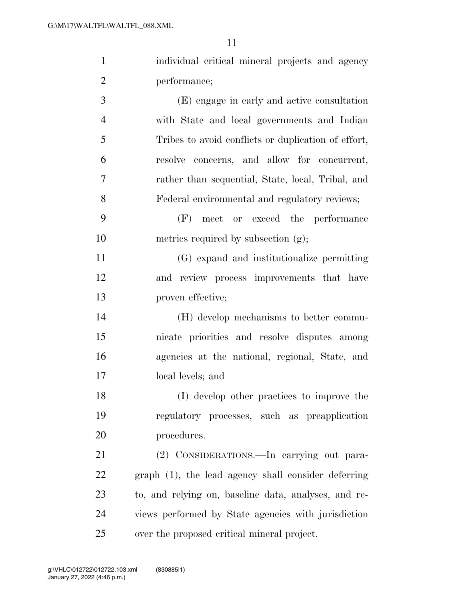| $\mathbf{1}$ | individual critical mineral projects and agency     |
|--------------|-----------------------------------------------------|
| 2            | performance;                                        |
| 3            | (E) engage in early and active consultation         |
| 4            | with State and local governments and Indian         |
| 5            | Tribes to avoid conflicts or duplication of effort, |

 resolve concerns, and allow for concurrent, rather than sequential, State, local, Tribal, and Federal environmental and regulatory reviews;

 (F) meet or exceed the performance 10 metrics required by subsection (g);

 (G) expand and institutionalize permitting and review process improvements that have proven effective;

 (H) develop mechanisms to better commu- nicate priorities and resolve disputes among agencies at the national, regional, State, and local levels; and

 (I) develop other practices to improve the regulatory processes, such as preapplication procedures.

 (2) CONSIDERATIONS.—In carrying out para- graph (1), the lead agency shall consider deferring to, and relying on, baseline data, analyses, and re- views performed by State agencies with jurisdiction over the proposed critical mineral project.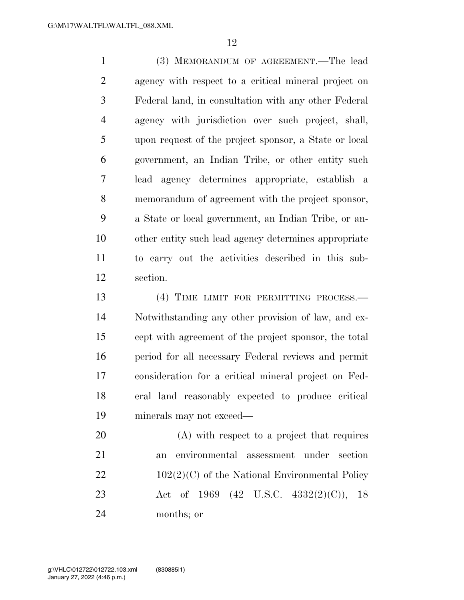(3) MEMORANDUM OF AGREEMENT.—The lead agency with respect to a critical mineral project on Federal land, in consultation with any other Federal agency with jurisdiction over such project, shall, upon request of the project sponsor, a State or local government, an Indian Tribe, or other entity such lead agency determines appropriate, establish a memorandum of agreement with the project sponsor, a State or local government, an Indian Tribe, or an- other entity such lead agency determines appropriate to carry out the activities described in this sub-section.

13 (4) TIME LIMIT FOR PERMITTING PROCESS.— Notwithstanding any other provision of law, and ex- cept with agreement of the project sponsor, the total period for all necessary Federal reviews and permit consideration for a critical mineral project on Fed- eral land reasonably expected to produce critical minerals may not exceed—

 (A) with respect to a project that requires an environmental assessment under section  $102(2)(C)$  of the National Environmental Policy Act of 1969 (42 U.S.C. 4332(2)(C)), 18 months; or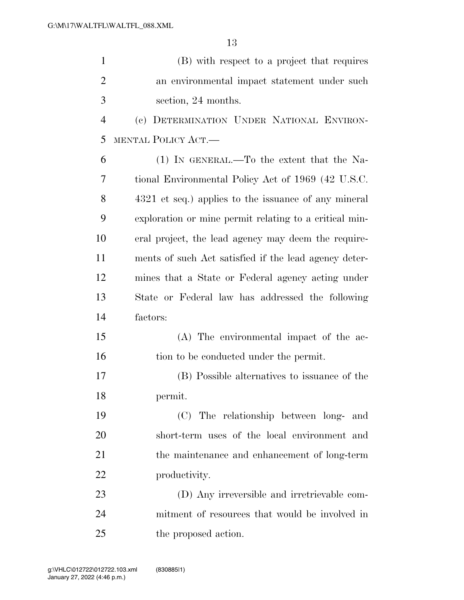| $\mathbf{1}$   | (B) with respect to a project that requires            |
|----------------|--------------------------------------------------------|
| $\overline{2}$ | an environmental impact statement under such           |
| 3              | section, 24 months.                                    |
| $\overline{4}$ | (c) DETERMINATION UNDER NATIONAL ENVIRON-              |
| 5              | MENTAL POLICY ACT.—                                    |
| 6              | $(1)$ In GENERAL.—To the extent that the Na-           |
| 7              | tional Environmental Policy Act of 1969 (42 U.S.C.     |
| 8              | 4321 et seq.) applies to the issuance of any mineral   |
| 9              | exploration or mine permit relating to a critical min- |
| 10             | eral project, the lead agency may deem the require-    |
| 11             | ments of such Act satisfied if the lead agency deter-  |
| 12             | mines that a State or Federal agency acting under      |
| 13             | State or Federal law has addressed the following       |
| 14             | factors:                                               |
| 15             | (A) The environmental impact of the ac-                |
| 16             | tion to be conducted under the permit.                 |
| 17             | (B) Possible alternatives to issuance of the           |
| 18             | permit.                                                |
| 19             | (C) The relationship between long- and                 |
| 20             | short-term uses of the local environment and           |
| 21             | the maintenance and enhancement of long-term           |
| 22             | productivity.                                          |
| 23             | (D) Any irreversible and irretrievable com-            |
| 24             | mitment of resources that would be involved in         |
| 25             | the proposed action.                                   |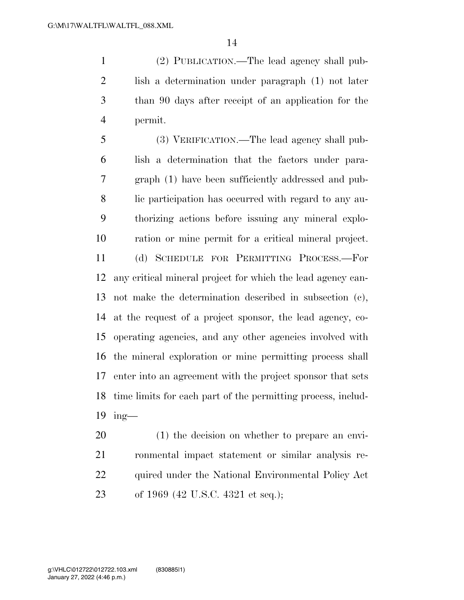(2) PUBLICATION.—The lead agency shall pub- lish a determination under paragraph (1) not later than 90 days after receipt of an application for the permit.

 (3) VERIFICATION.—The lead agency shall pub- lish a determination that the factors under para- graph (1) have been sufficiently addressed and pub- lic participation has occurred with regard to any au- thorizing actions before issuing any mineral explo- ration or mine permit for a critical mineral project. (d) SCHEDULE FOR PERMITTING PROCESS.—For any critical mineral project for which the lead agency can- not make the determination described in subsection (c), at the request of a project sponsor, the lead agency, co- operating agencies, and any other agencies involved with the mineral exploration or mine permitting process shall enter into an agreement with the project sponsor that sets time limits for each part of the permitting process, includ-ing—

 (1) the decision on whether to prepare an envi- ronmental impact statement or similar analysis re-22 quired under the National Environmental Policy Act of 1969 (42 U.S.C. 4321 et seq.);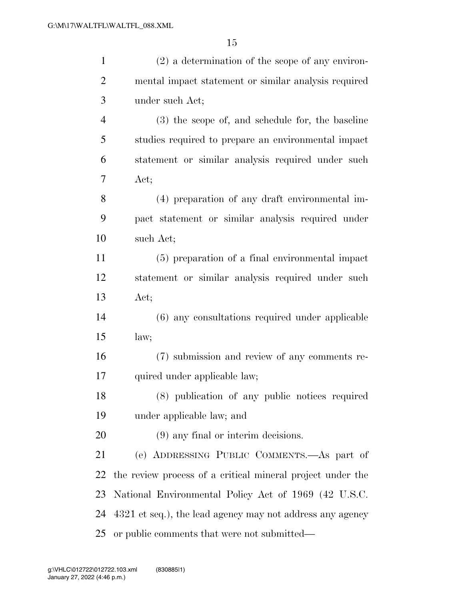| $\mathbf{1}$   | $(2)$ a determination of the scope of any environ-         |
|----------------|------------------------------------------------------------|
| $\overline{2}$ | mental impact statement or similar analysis required       |
| 3              | under such Act;                                            |
| $\overline{4}$ | (3) the scope of, and schedule for, the baseline           |
| 5              | studies required to prepare an environmental impact        |
| 6              | statement or similar analysis required under such          |
| 7              | Act;                                                       |
| 8              | (4) preparation of any draft environmental im-             |
| 9              | pact statement or similar analysis required under          |
| 10             | such Act;                                                  |
| 11             | (5) preparation of a final environmental impact            |
| 12             | statement or similar analysis required under such          |
| 13             | Act;                                                       |
| 14             | (6) any consultations required under applicable            |
| 15             | law;                                                       |
| 16             | (7) submission and review of any comments re-              |
| 17             | quired under applicable law;                               |
| 18             | (8) publication of any public notices required             |
| 19             | under applicable law; and                                  |
| 20             | $(9)$ any final or interim decisions.                      |
| 21             | (e) ADDRESSING PUBLIC COMMENTS.—As part of                 |
| 22             | the review process of a critical mineral project under the |
| 23             | National Environmental Policy Act of 1969 (42 U.S.C.       |
| 24             | 4321 et seq.), the lead agency may not address any agency  |
| 25             | or public comments that were not submitted—                |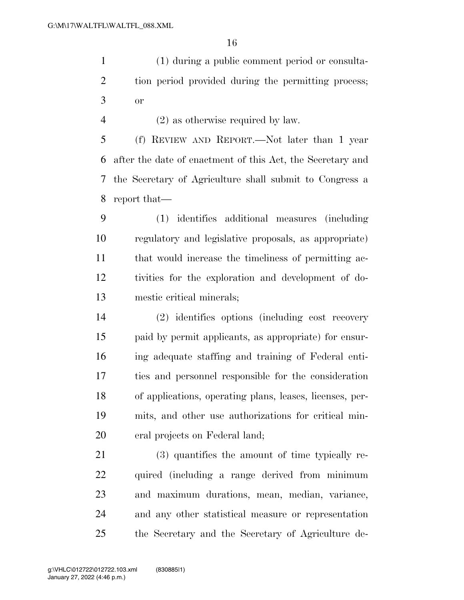(1) during a public comment period or consulta- tion period provided during the permitting process; or

(2) as otherwise required by law.

 (f) REVIEW AND REPORT.—Not later than 1 year after the date of enactment of this Act, the Secretary and the Secretary of Agriculture shall submit to Congress a report that—

 (1) identifies additional measures (including regulatory and legislative proposals, as appropriate) that would increase the timeliness of permitting ac- tivities for the exploration and development of do-mestic critical minerals;

 (2) identifies options (including cost recovery paid by permit applicants, as appropriate) for ensur- ing adequate staffing and training of Federal enti- ties and personnel responsible for the consideration of applications, operating plans, leases, licenses, per- mits, and other use authorizations for critical min-eral projects on Federal land;

 (3) quantifies the amount of time typically re- quired (including a range derived from minimum and maximum durations, mean, median, variance, and any other statistical measure or representation the Secretary and the Secretary of Agriculture de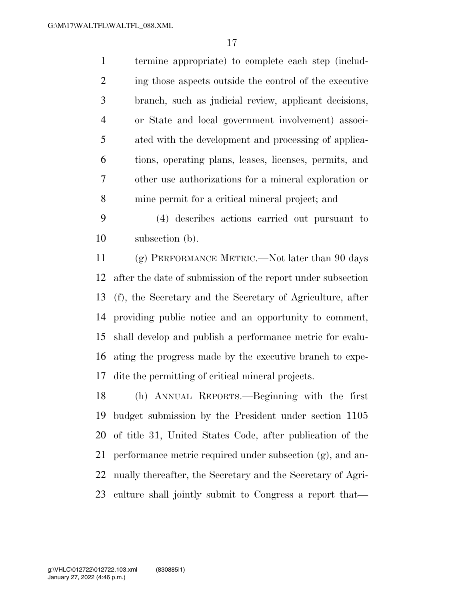termine appropriate) to complete each step (includ-2 ing those aspects outside the control of the executive branch, such as judicial review, applicant decisions, or State and local government involvement) associ- ated with the development and processing of applica- tions, operating plans, leases, licenses, permits, and other use authorizations for a mineral exploration or mine permit for a critical mineral project; and

 (4) describes actions carried out pursuant to subsection (b).

 (g) PERFORMANCE METRIC.—Not later than 90 days after the date of submission of the report under subsection (f), the Secretary and the Secretary of Agriculture, after providing public notice and an opportunity to comment, shall develop and publish a performance metric for evalu- ating the progress made by the executive branch to expe-dite the permitting of critical mineral projects.

 (h) ANNUAL REPORTS.—Beginning with the first budget submission by the President under section 1105 of title 31, United States Code, after publication of the performance metric required under subsection (g), and an- nually thereafter, the Secretary and the Secretary of Agri-culture shall jointly submit to Congress a report that—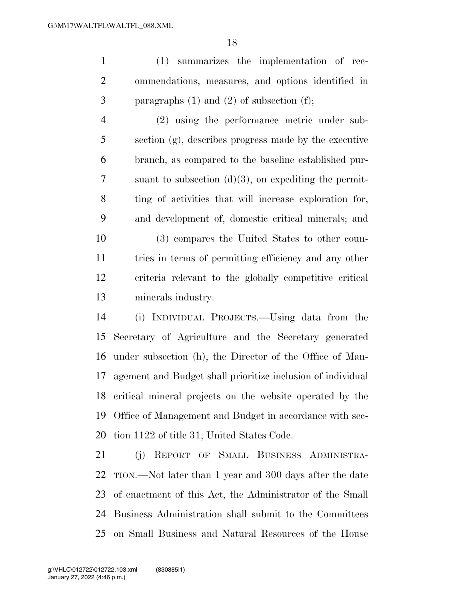(1) summarizes the implementation of rec- ommendations, measures, and options identified in paragraphs (1) and (2) of subsection (f);

 (2) using the performance metric under sub- section (g), describes progress made by the executive branch, as compared to the baseline established pur- suant to subsection (d)(3), on expediting the permit- ting of activities that will increase exploration for, and development of, domestic critical minerals; and

 (3) compares the United States to other coun- tries in terms of permitting efficiency and any other criteria relevant to the globally competitive critical minerals industry.

 (i) INDIVIDUAL PROJECTS.—Using data from the Secretary of Agriculture and the Secretary generated under subsection (h), the Director of the Office of Man- agement and Budget shall prioritize inclusion of individual critical mineral projects on the website operated by the Office of Management and Budget in accordance with sec-tion 1122 of title 31, United States Code.

 (j) REPORT OF SMALL BUSINESS ADMINISTRA- TION.—Not later than 1 year and 300 days after the date of enactment of this Act, the Administrator of the Small Business Administration shall submit to the Committees on Small Business and Natural Resources of the House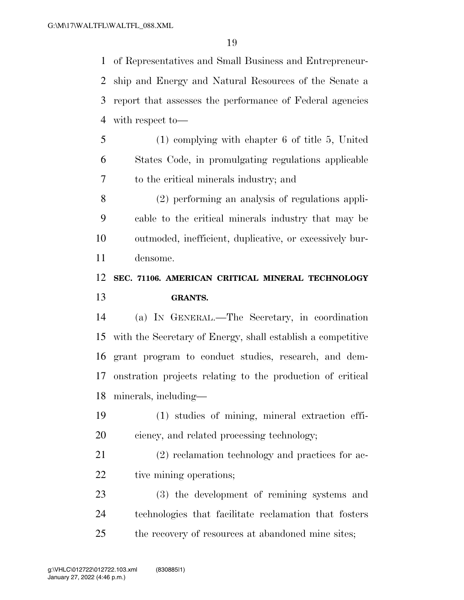of Representatives and Small Business and Entrepreneur- ship and Energy and Natural Resources of the Senate a report that assesses the performance of Federal agencies with respect to—

 (1) complying with chapter 6 of title 5, United States Code, in promulgating regulations applicable to the critical minerals industry; and

 (2) performing an analysis of regulations appli- cable to the critical minerals industry that may be outmoded, inefficient, duplicative, or excessively bur-densome.

### **SEC. 71106. AMERICAN CRITICAL MINERAL TECHNOLOGY GRANTS.**

 (a) IN GENERAL.—The Secretary, in coordination with the Secretary of Energy, shall establish a competitive grant program to conduct studies, research, and dem- onstration projects relating to the production of critical minerals, including—

- (1) studies of mining, mineral extraction effi-ciency, and related processing technology;
- (2) reclamation technology and practices for ac-22 tive mining operations;
- (3) the development of remining systems and technologies that facilitate reclamation that fosters the recovery of resources at abandoned mine sites;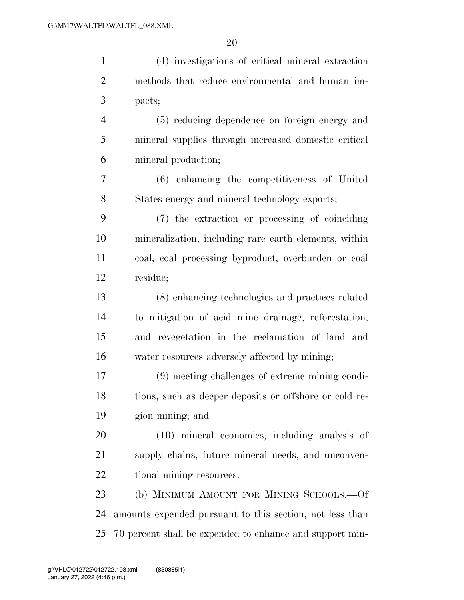| $\mathbf{1}$   | (4) investigations of critical mineral extraction        |
|----------------|----------------------------------------------------------|
| $\overline{2}$ | methods that reduce environmental and human im-          |
| $\mathfrak{Z}$ | pacts;                                                   |
| $\overline{4}$ | (5) reducing dependence on foreign energy and            |
| 5              | mineral supplies through increased domestic critical     |
| 6              | mineral production;                                      |
| 7              | (6) enhancing the competitiveness of United              |
| 8              | States energy and mineral technology exports;            |
| 9              | (7) the extraction or processing of coinciding           |
| 10             | mineralization, including rare earth elements, within    |
| 11             | coal, coal processing byproduct, overburden or coal      |
| 12             | residue;                                                 |
| 13             | (8) enhancing technologies and practices related         |
| 14             | to mitigation of acid mine drainage, reforestation,      |
| 15             | and revegetation in the reclamation of land and          |
| 16             | water resources adversely affected by mining;            |
| 17             | (9) meeting challenges of extreme mining condi-          |
| 18             | tions, such as deeper deposits or offshore or cold re-   |
| 19             | gion mining; and                                         |
| 20             | (10) mineral economics, including analysis of            |
| 21             | supply chains, future mineral needs, and unconven-       |
| 22             | tional mining resources.                                 |
| 23             | (b) MINIMUM AMOUNT FOR MINING SCHOOLS.—Of                |
| 24             | amounts expended pursuant to this section, not less than |
| 25             | 70 percent shall be expended to enhance and support min- |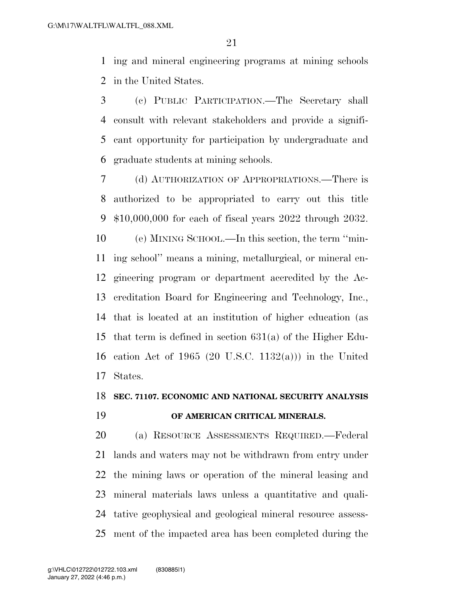ing and mineral engineering programs at mining schools in the United States.

 (c) PUBLIC PARTICIPATION.—The Secretary shall consult with relevant stakeholders and provide a signifi- cant opportunity for participation by undergraduate and graduate students at mining schools.

 (d) AUTHORIZATION OF APPROPRIATIONS.—There is authorized to be appropriated to carry out this title \$10,000,000 for each of fiscal years 2022 through 2032. (e) MINING SCHOOL.—In this section, the term ''min- ing school'' means a mining, metallurgical, or mineral en- gineering program or department accredited by the Ac- creditation Board for Engineering and Technology, Inc., that is located at an institution of higher education (as that term is defined in section 631(a) of the Higher Edu- cation Act of 1965 (20 U.S.C. 1132(a))) in the United States.

#### **SEC. 71107. ECONOMIC AND NATIONAL SECURITY ANALYSIS**

#### **OF AMERICAN CRITICAL MINERALS.**

 (a) RESOURCE ASSESSMENTS REQUIRED.—Federal lands and waters may not be withdrawn from entry under the mining laws or operation of the mineral leasing and mineral materials laws unless a quantitative and quali- tative geophysical and geological mineral resource assess-ment of the impacted area has been completed during the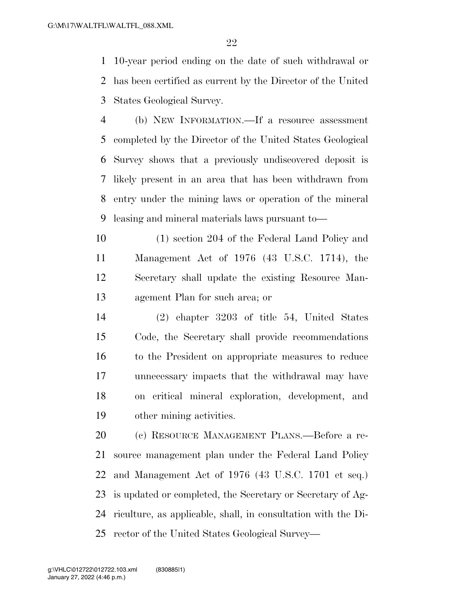10-year period ending on the date of such withdrawal or has been certified as current by the Director of the United States Geological Survey.

 (b) NEW INFORMATION.—If a resource assessment completed by the Director of the United States Geological Survey shows that a previously undiscovered deposit is likely present in an area that has been withdrawn from entry under the mining laws or operation of the mineral leasing and mineral materials laws pursuant to—

 (1) section 204 of the Federal Land Policy and Management Act of 1976 (43 U.S.C. 1714), the Secretary shall update the existing Resource Man-agement Plan for such area; or

 (2) chapter 3203 of title 54, United States Code, the Secretary shall provide recommendations to the President on appropriate measures to reduce unnecessary impacts that the withdrawal may have on critical mineral exploration, development, and other mining activities.

 (c) RESOURCE MANAGEMENT PLANS.—Before a re- source management plan under the Federal Land Policy and Management Act of 1976 (43 U.S.C. 1701 et seq.) is updated or completed, the Secretary or Secretary of Ag- riculture, as applicable, shall, in consultation with the Di-rector of the United States Geological Survey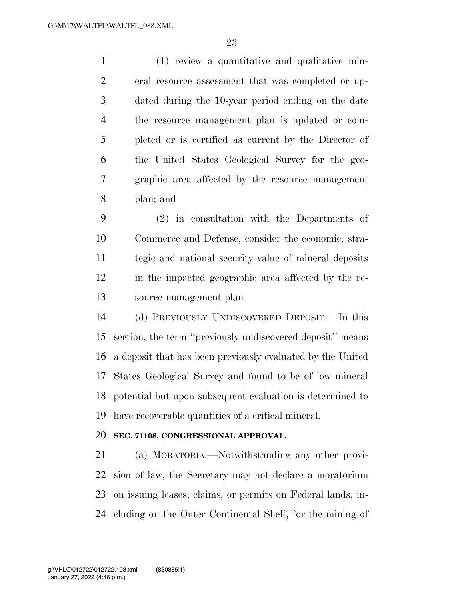(1) review a quantitative and qualitative min- eral resource assessment that was completed or up- dated during the 10-year period ending on the date the resource management plan is updated or com- pleted or is certified as current by the Director of the United States Geological Survey for the geo- graphic area affected by the resource management plan; and

 (2) in consultation with the Departments of Commerce and Defense, consider the economic, stra- tegic and national security value of mineral deposits in the impacted geographic area affected by the re-source management plan.

 (d) PREVIOUSLY UNDISCOVERED DEPOSIT.—In this section, the term ''previously undiscovered deposit'' means a deposit that has been previously evaluated by the United States Geological Survey and found to be of low mineral potential but upon subsequent evaluation is determined to have recoverable quantities of a critical mineral.

#### **SEC. 71108. CONGRESSIONAL APPROVAL.**

 (a) MORATORIA.—Notwithstanding any other provi- sion of law, the Secretary may not declare a moratorium on issuing leases, claims, or permits on Federal lands, in-cluding on the Outer Continental Shelf, for the mining of